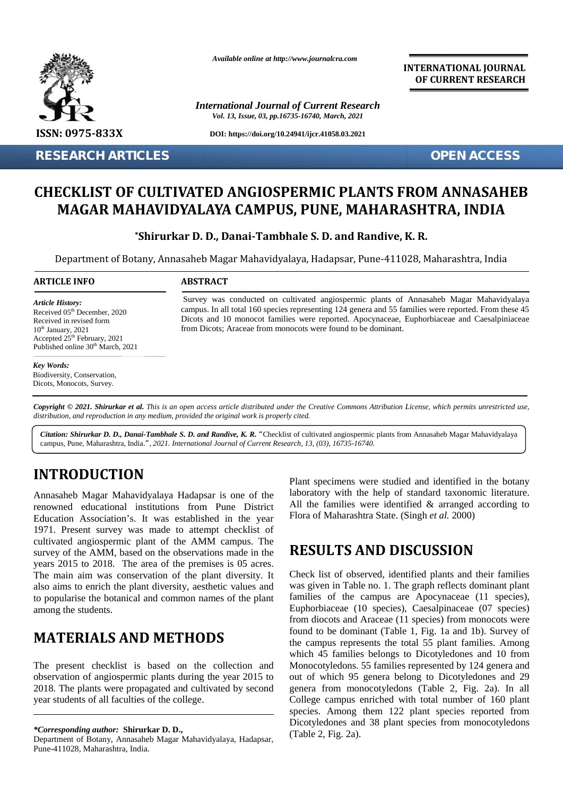

**RESEARCH ARTICLES OPEN ACCESS**

*Available online at http://www.journalcra.com*

*International Journal of Current Research Vol. 13, Issue, 03, pp.16735-16740, March, 2021*

**DOI: https://doi.org/10.24941/ijcr.41058.03.2021**

**INTERNATIONAL JOURNAL OF CURRENT RESEARCH**

# **CHECKLIST OF CULTIVATED ANGIOSPERMIC PLANTS FROM ANNASAHEB MAGAR MAHAVIDYALAYA CAMPUS, PUNE, MAHARASHTRA, INDIA PUNE, MAHARASHTRA, INDIA**

### **\*Shirurkar D. D., Danai-Tambhale S. D. and Randive, K. R.**

Department of Botany, Annasaheb Magar Mahavidyalaya, Hadapsar, Pune-411028, Maharashtra, India Botany,Annasaheb Pune-411028, Maharashtra,

#### **ARTICLE INFO ABSTRACT ARTICLE ABSTRACT**

*Article History: Article History:* Received  $05<sup>th</sup>$  December, 2020 Received U<sub>2</sub> December, 2020<br>Received in revised form  $10^{th}$  January, 2021 Accepted  $25<sup>th</sup>$  February,  $2021$ Published online  $30<sup>th</sup>$  March, 2021  $10<sup>th</sup>$  January, 2021 Accepted  $25<sup>th</sup>$  February, 2021 **CHECKLIST<br>
MAGAR<br>
MAGAR<br>
Department<br>
Department<br>
ARTICLE INFO<br>
Article History:**<br>
Received in revised form<br>  $10^{\text{th}}$  January, 2021<br>
Accepted 25<sup>th</sup> February, 2

#### *Key Words:*

Biodiversity, Conservation, Dicots, Monocots, Survey.

Survey was conducted on cultivated angiospermic plants of Annasaheb Magar Mahavidyalaya campus. In all total 160 species representing 124 genera and 55 families were reported. From these 45 Dicots and 10 monocot families were reported. Apocynaceae, Euphorbiaceae and Caesalpiniaceae from Dicots; Araceae from monocots were found to be dominant. campus. In all total 160 species representing 124 genera and 55 families were reported. From these Dicots and 10 monocot families were reported. Apocynaceae, Euphorbiaceae and Caesalpiniace<br>from Dicots; Araceae from monoco Form 2020 campus. In all total 160 species representing<br>
From Dicots and 10 monocot families were rep<br>
from Dicots; Araceae from monocots were t<br> *(13),* 2021<br>
March, 2021<br> **March, 2021**<br> **March, 2021**<br> **March, 2021**<br> **Mar** 

**Copyright © 2021. Shirurkar et al.** This is an open access article distributed under the Creative Commons Attribution License, which permits unrestricted use,<br>distribution, and reproduction in any medium, provided the ori *distribution, and reproduction in any medium, provided the original work is properly cited.*

Citation: Shirurkar D. D., Danai-Tambhale S. D. and Randive, K. R. "Checklist of cultivated angiospermic plants from Annasaheb Magar Mahavidyalaya | campus, Pune, Maharashtra, India.*", 2021. International Journal of Current Research, 13, (03), 16735-16740.*

## **INTRODUCTION INTRODUCTION**

Annasaheb Magar Mahavidyalaya Hadapsar is one of the labor renowned educational institutions from Pune District All renowned educational institutions from Pune District Education Association's. It was established in the year <sup>FI</sup> 1971. Present survey was made to attempt checklist of cultivated angiospermic plant of the AMM campus. The survey of the AMM, based on the observations made in the years 2015 to 2018. The area of the premises is 05 acres. The main aim was conservation of the plant diversity. It also aims to enrich the plant diversity, aesthetic values and to popularise the botanical and common names of the plant among the students. 1971. Present survey was made to attempt checklist of cultivated angiospermic plant of the AMM campus. The survey of the AMM, based on the observations made in the years 2015 to 2018. The area of the premises is 05 acres.

## **MATERIALS AND METHODS MATERIALS**

The present checklist is based on the collection and observation of angiospermic plants during the year 2015 to 2018. The plants were propagated and cultivated by second year students of all faculties of the college. The present checklist is based on the collection and observation of angiospermic plants during the year 2015 to<br>2018. The plants were propagated and cultivated by second<br>year students of all faculties of the college.

*\*Corresponding author:* Shirurkar D. D.,

Department of Botany, Annasaheb Magar Mahavidyalaya, Hadapsar, Pune-411028, Maharashtra, India.

Plant specimens were studied and identified in the botany laboratory with the help of standard taxonomic literature. All the families were identified & arranged according to Flora of Maharashtra State. *(Singh et al.* 2000) Flora of Maharashtra State. (Singh *et al.* 2000)

## **RESULTS AND DISCUSSION RESULTS AND**

Check list of observed, identified plants and their families was given in Table no. 1. The graph reflects dominant plant families of the campus are Apocynaceae (11 species), Euphorbiaceae (10 species), Caesalpinaceae (07 species) from diocots and Araceae (11 species) from monocots were found to be dominant (Table 1, Fig. 1a and 1b). Survey of the campus represents the total 55 plant families. Among which 45 families belongs to Dicotyledones and 10 from Monocotyledons. 55 families represented by 124 genera and out of which 95 genera belong to Dicotyledones and 29 genera from monocotyledons (Table 2, Fig. 2a). In all College campus enriched with total number of 160 plant species. Among them 122 plant species reported from Dicotyledones and 38 plant species from monocotyledons (Table 2, Fig. 2a). From Martin Corresponding and indential and internal Plant species controlled and identified in the botany<br>
Amazashtra, In was established in the botany<br>
Frenchman deducational institutions from Pune District All the famil Check list of observed, identified plants and their families<br>was given in Table no. 1. The graph reflects dominant plant<br>families of the campus are Apocynaceae (11 species),<br>Euphorbiaceae (10 species), Caesalpinaceae (07 s (c. 2003)<br>
This is used to the interest of the plant and 55 families were reported. However, and  $\sigma$ <br>
From Thiens, Anceae from monocots were reported. Appearance, Euphorbisceces and Gessalpin<br>
from Dicots and 10 monocot **THODS** found to be dominant (Table 1, Fig. 1a and 1b). Survey of<br>the campus represents the total 55 plant families. Among<br>which 45 families belongs to Dicotyledones and 10 from<br>on the collection and Monocotyledons. 55 fam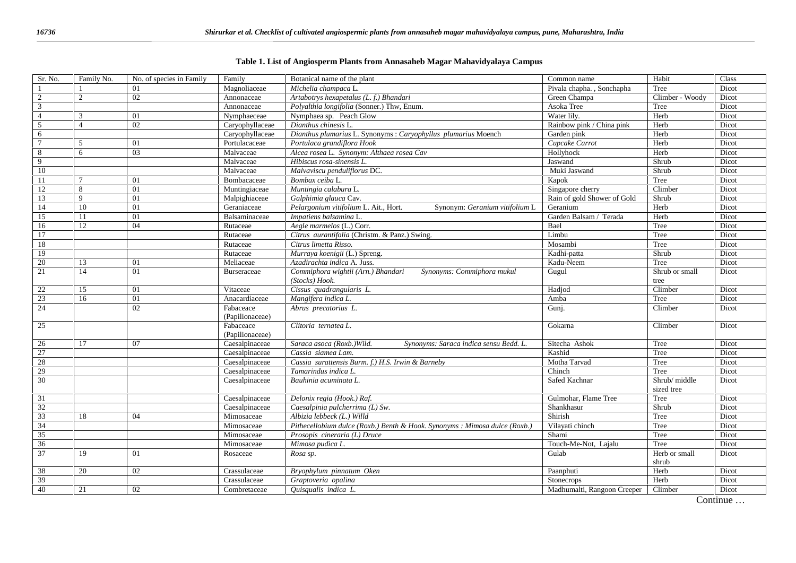| Sr. No.        | Family No.     | No. of species in Family | Family                       | Botanical name of the plant                                                | Common name                 | Habit                       | Class |
|----------------|----------------|--------------------------|------------------------------|----------------------------------------------------------------------------|-----------------------------|-----------------------------|-------|
| -1             |                | 01                       | Magnoliaceae                 | Michelia champaca L.                                                       | Pivala chapha., Sonchapha   | Tree                        | Dicot |
| 2              | $\overline{2}$ | 02                       | Annonaceae                   | Artabotrys hexapetalus (L. f.) Bhandari                                    | Green Champa                | Climber - Woody             | Dicot |
| 3              |                |                          | Annonaceae                   | Polyalthia longifolia (Sonner.) Thw, Enum.                                 | Asoka Tree                  | Tree                        | Dicot |
| $\overline{4}$ | 3              | 01                       | Nymphaeceae                  | Nymphaea sp. Peach Glow                                                    | Water lily.                 | Herb                        | Dicot |
| 5              | $\overline{4}$ | 02                       | Caryophyllaceae              | Dianthus chinesis L.                                                       | Rainbow pink / China pink   | Herb                        | Dicot |
| 6              |                |                          | Caryophyllaceae              | Dianthus plumarius L. Synonyms : Caryophyllus plumarius Moench             | Garden pink                 | Herb                        | Dicot |
| $\overline{7}$ | 5              | 01                       | Portulacaceae                | Portulaca grandiflora Hook                                                 | Cupcake Carrot              | Herb                        | Dicot |
| 8              | 6              | 03                       | Malvaceae                    | Alcea rosea L. Synonym: Althaea rosea Cav                                  | Hollyhock                   | Herb                        | Dicot |
| 9              |                |                          | Malvaceae                    | Hibiscus rosa-sinensis L.                                                  | Jaswand                     | Shrub                       | Dicot |
| 10             |                |                          | Malvaceae                    | Malvaviscu penduliflorus DC.                                               | Muki Jaswand                | Shrub                       | Dicot |
| 11             | 7              | 01                       | Bombacaceae                  | Bombax ceiba L.                                                            | Kapok                       | Tree                        | Dicot |
| 12             | 8              | 01                       | Muntingiaceae                | Muntingia calabura L.                                                      | Singapore cherry            | Climber                     | Dicot |
| 13             | 9              | 01                       | Malpighiaceae                | Galphimia glauca Cav.                                                      | Rain of gold Shower of Gold | Shrub                       | Dicot |
| 14             | 10             | 01                       | Geraniaceae                  | Synonym: Geranium vitifolium L<br>Pelargonium vitifolium L. Ait., Hort.    | Geranium                    | Herb                        | Dicot |
| 15             | 11             | 01                       | Balsaminaceae                | Impatiens balsamina L.                                                     | Garden Balsam / Terada      | Herb                        | Dicot |
| 16             | 12             | 04                       | Rutaceae                     | Aegle marmelos (L.) Corr.                                                  | Bael                        | Tree                        | Dicot |
| 17             |                |                          | Rutaceae                     | Citrus aurantifolia (Christm. & Panz.) Swing.                              | Limbu                       | Tree                        | Dicot |
| 18             |                |                          | Rutaceae                     | Citrus limetta Risso.                                                      | Mosambi                     | Tree                        | Dicot |
| 19             |                |                          | Rutaceae                     | Murraya koenigii (L.) Spreng.                                              | Kadhi-patta                 | Shrub                       | Dicot |
| 20             | 13             | 01                       | Meliaceae                    | Azadirachta indica A. Juss.                                                | Kadu-Neem                   | Tree                        | Dicot |
| 21             | 14             | 01                       | <b>Burseraceae</b>           | Commiphora wightii (Arn.) Bhandari<br>Synonyms: Commiphora mukul           | Gugul                       | Shrub or small              | Dicot |
|                |                |                          |                              | (Stocks) Hook.                                                             |                             | tree                        |       |
| 22             | 15             | 01                       | Vitaceae                     | Cissus quadrangularis L.                                                   | Hadjod                      | Climber                     | Dicot |
| 23             | 16             | 01                       | Anacardiaceae                | Mangifera indica L.                                                        | Amba                        | Tree                        | Dicot |
| 24             |                | 02                       | Fabaceace<br>(Papilionaceae) | Abrus precatorius L.                                                       | Gunj.                       | Climber                     | Dicot |
| 25             |                |                          | Fabaceace                    | Clitoria ternatea L.                                                       | Gokarna                     | Climber                     | Dicot |
|                |                |                          | (Papilionaceae)              |                                                                            |                             |                             |       |
| 26             | 17             | 07                       | Caesalpinaceae               | Saraca asoca (Roxb.) Wild.<br>Synonyms: Saraca indica sensu Bedd. L.       | Sitecha Ashok               | Tree                        | Dicot |
| 27             |                |                          | Caesalpinaceae               | Cassia siamea Lam.                                                         | Kashid                      | Tree                        | Dicot |
| 28             |                |                          | Caesalpinaceae               | Cassia surattensis Burm. f.) H.S. Irwin & Barneby                          | Motha Tarvad                | Tree                        | Dicot |
| 29             |                |                          | Caesalpinaceae               | Tamarindus indica L.                                                       | Chinch                      | Tree                        | Dicot |
| 30             |                |                          | Caesalpinaceae               | Bauhinia acuminata L.                                                      | Safed Kachnar               | Shrub/ middle<br>sized tree | Dicot |
| 31             |                |                          | Caesalpinaceae               | Delonix regia (Hook.) Raf.                                                 | Gulmohar, Flame Tree        | Tree                        | Dicot |
| 32             |                |                          | Caesalpinaceae               | Caesalpinia pulcherrima (L) Sw.                                            | Shankhasur                  | Shrub                       | Dicot |
| 33             | 18             | 04                       | Mimosaceae                   | Albizia lebbeck (L.) Willd                                                 | Shirish                     | Tree                        | Dicot |
| 34             |                |                          | Mimosaceae                   | Pithecellobium dulce (Roxb.) Benth & Hook. Synonyms : Mimosa dulce (Roxb.) | Vilayati chinch             | Tree                        | Dicot |
| 35             |                |                          | Mimosaceae                   | Prosopis cineraria (L) Druce                                               | Shami                       | Tree                        | Dicot |
| 36             |                |                          | Mimosaceae                   | Mimosa pudica L.                                                           | Touch-Me-Not, Lajalu        | Tree                        | Dicot |
| 37             | 19             | 01                       | Rosaceae                     | Rosa sp.                                                                   | Gulab                       | Herb or small               | Dicot |
|                |                |                          |                              |                                                                            |                             | shrub                       |       |
| 38             | 20             | 02                       | Crassulaceae                 | Bryophylum pinnatum Oken                                                   | Paanphuti                   | Herb                        | Dicot |
| 39             |                |                          | Crassulaceae                 | Graptoveria opalina                                                        | Stonecrops                  | Herb                        | Dicot |
| 40             | 21             | 02                       | Combretaceae                 | Quisqualis indica L.                                                       | Madhumalti, Rangoon Creeper | Climber                     | Dicot |

|  | Table 1. List of Angiosperm Plants from Annasaheb Magar Mahavidyalaya Campus |
|--|------------------------------------------------------------------------------|
|--|------------------------------------------------------------------------------|

Continue …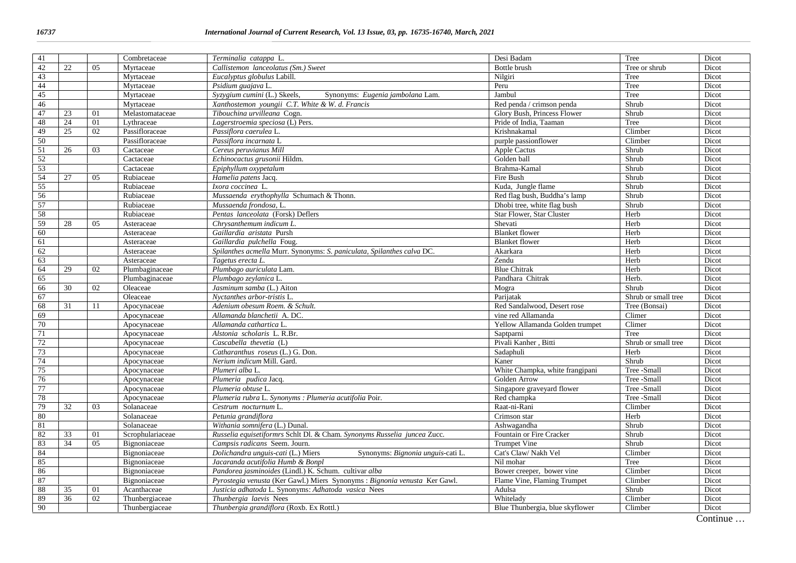| 41 |    |    | Combretaceae     | Terminalia catappa L.                                                      | Desi Badam                      | Tree                | Dicot |
|----|----|----|------------------|----------------------------------------------------------------------------|---------------------------------|---------------------|-------|
| 42 | 22 | 05 | Myrtaceae        | Callistemon lanceolatus (Sm.) Sweet                                        | Bottle brush                    | Tree or shrub       | Dicot |
| 43 |    |    | Myrtaceae        | Eucalyptus globulus Labill.                                                | Nilgiri                         | Tree                | Dicot |
| 44 |    |    | Myrtaceae        | Psidium guajava L.                                                         | Peru                            | Tree                | Dicot |
| 45 |    |    | Myrtaceae        | Syzygium cumini (L.) Skeels,<br>Synonyms: Eugenia jambolana Lam.           | Jambul                          | Tree                | Dicot |
| 46 |    |    | Myrtaceae        | Xanthostemon youngii C.T. White & W. d. Francis                            | Red penda / crimson penda       | Shrub               | Dicot |
| 47 | 23 | 01 | Melastomataceae  | Tibouchina urvilleana Cogn.                                                | Glory Bush, Princess Flower     | Shrub               | Dicot |
| 48 | 24 | 01 | Lythraceae       | Lagerstroemia speciosa (L) Pers.                                           | Pride of India, Taaman          | Tree                | Dicot |
| 49 | 25 | 02 | Passifloraceae   | Passiflora caerulea L.                                                     | Krishnakamal                    | Climber             | Dicot |
| 50 |    |    | Passifloraceae   | Passiflora incarnata L                                                     | purple passionflower            | Climber             | Dicot |
| 51 | 26 | 03 | Cactaceae        | Cereus peruvianus Mill                                                     | <b>Apple Cactus</b>             | Shrub               | Dicot |
| 52 |    |    | Cactaceae        | Echinocactus grusonii Hildm.                                               | Golden ball                     | Shrub               | Dicot |
| 53 |    |    | Cactaceae        | Epiphyllum oxypetalum                                                      | Brahma-Kamal                    | Shrub               | Dicot |
| 54 | 27 | 05 | Rubiaceae        | Hamelia patens Jacq.                                                       | Fire Bush                       | Shrub               | Dicot |
| 55 |    |    | Rubiaceae        | Ixora coccinea L.                                                          | Kuda, Jungle flame              | Shrub               | Dicot |
| 56 |    |    | Rubiaceae        | Mussaenda erythophylla Schumach & Thonn.                                   | Red flag bush, Buddha's lamp    | Shrub               | Dicot |
| 57 |    |    | Rubiaceae        | Mussaenda frondosa, L.                                                     | Dhobi tree, white flag bush     | Shrub               | Dicot |
| 58 |    |    | Rubiaceae        | Pentas lanceolata (Forsk) Deflers                                          | Star Flower, Star Cluster       | Herb                | Dicot |
| 59 | 28 | 05 | Asteraceae       | Chrysanthemum indicum L.                                                   | Shevati                         | Herb                | Dicot |
| 60 |    |    | Asteraceae       | Gaillardia aristata Pursh                                                  | <b>Blanket</b> flower           | Herb                | Dicot |
| 61 |    |    | Asteraceae       | Gaillardia pulchella Foug.                                                 | <b>Blanket</b> flower           | Herb                | Dicot |
| 62 |    |    | Asteraceae       | Spilanthes acmella Murr. Synonyms: S. paniculata, Spilanthes calva DC.     | Akarkara                        | Herb                | Dicot |
| 63 |    |    | Asteraceae       | Tagetus erecta L.                                                          | Zendu                           | Herb                | Dicot |
| 64 | 29 | 02 | Plumbaginaceae   | Plumbago auriculata Lam.                                                   | <b>Blue Chitrak</b>             | Herb                | Dicot |
| 65 |    |    | Plumbaginaceae   | Plumbago zeylanica L.                                                      | Pandhara Chitrak                | Herb.               | Dicot |
| 66 | 30 | 02 | Oleaceae         | Jasminum samba (L.) Aiton                                                  | Mogra                           | Shrub               | Dicot |
| 67 |    |    | Oleaceae         | Nyctanthes arbor-tristis L                                                 | Parijatak                       | Shrub or small tree | Dicot |
| 68 | 31 | 11 | Apocynaceae      | Adenium obesum Roem. & Schult.                                             | Red Sandalwood, Desert rose     | Tree (Bonsai)       | Dicot |
| 69 |    |    | Apocynaceae      | Allamanda blanchetii A. DC.                                                | vine red Allamanda              | Climer              | Dicot |
| 70 |    |    | Apocynaceae      | Allamanda cathartica L.                                                    | Yellow Allamanda Golden trumpet | Climer              | Dicot |
| 71 |    |    | Apocynaceae      | Alstonia scholaris L. R.Br.                                                | Saptparni                       | Tree                | Dicot |
| 72 |    |    | Apocynaceae      | Cascabella thevetia (L)                                                    | Pivali Kanher, Bitti            | Shrub or small tree | Dicot |
| 73 |    |    | Apocynaceae      | Catharanthus roseus (L.) G. Don.                                           | Sadaphuli                       | Herb                | Dicot |
| 74 |    |    | Apocynaceae      | Nerium indicum Mill. Gard.                                                 | Kaner                           | Shrub               | Dicot |
| 75 |    |    | Apocynaceae      | Plumeri alba L.                                                            | White Champka, white frangipani | Tree -Small         | Dicot |
| 76 |    |    | Apocynaceae      | Plumeria pudica Jacq.                                                      | Golden Arrow                    | Tree -Small         | Dicot |
| 77 |    |    | Apocynaceae      | Plumeria obtuse L.                                                         | Singapore graveyard flower      | Tree -Small         | Dicot |
| 78 |    |    | Apocynaceae      | Plumeria rubra L. Synonyms : Plumeria acutifolia Poir.                     | Red champka                     | Tree -Small         | Dicot |
| 79 | 32 | 03 | Solanaceae       | Cestrum nocturnum L.                                                       | Raat-ni-Rani                    | Climber             | Dicot |
| 80 |    |    | Solanaceae       | Petunia grandiflora                                                        | Crimson star                    | Herb                | Dicot |
| 81 |    |    | Solanaceae       | Withania somnifera (L.) Dunal.                                             | Ashwagandha                     | Shrub               | Dicot |
| 82 | 33 | 01 | Scrophulariaceae | Russelia equisetiformrs Schlt Dl. & Cham. Synonyms Russelia juncea Zucc.   | Fountain or Fire Cracker        | Shrub               | Dicot |
| 83 | 34 | 05 | Bignoniaceae     | Campsis radicans Seem. Journ.                                              | <b>Trumpet Vine</b>             | Shrub               | Dicot |
| 84 |    |    | Bignoniaceae     | Dolichandra unguis-cati (L.) Miers<br>Synonyms: Bignonia unguis-cati L.    | Cat's Claw/ Nakh Vel            | Climber             | Dicot |
| 85 |    |    | Bignoniaceae     | Jacaranda acutifolia Humb & Bonpl                                          | Nil mohar                       | Tree                | Dicot |
| 86 |    |    | Bignoniaceae     | Pandorea jasminoides (Lindl.) K. Schum. cultivar alba                      | Bower creeper, bower vine       | Climber             | Dicot |
| 87 |    |    | Bignoniaceae     | Pyrostegia venusta (Ker Gawl.) Miers Synonyms : Bignonia venusta Ker Gawl. | Flame Vine, Flaming Trumpet     | Climber             | Dicot |
| 88 | 35 | 01 | Acanthaceae      | Justicia adhatoda L. Synonyms: Adhatoda vasica Nees                        | Adulsa                          | Shrub               | Dicot |
| 89 | 36 | 02 | Thunbergiaceae   | Thunbergia laevis Nees                                                     | Whitelady                       | Climber             | Dicot |
| 90 |    |    | Thunbergiaceae   | Thunbergia grandiflora (Roxb. Ex Rottl.)                                   | Blue Thunbergia, blue skyflower | Climber             | Dicot |

Continue …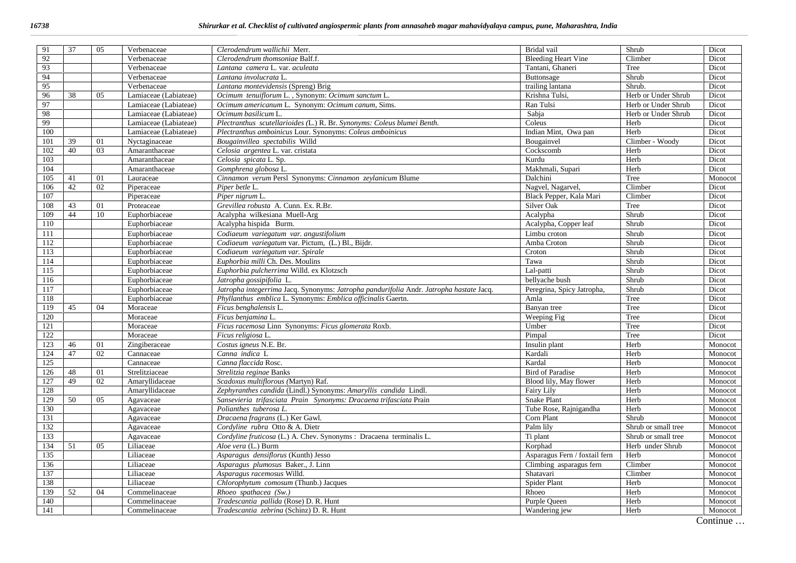| 92<br><b>Bleeding Heart Vine</b><br>Verbenaceae<br>Clerodendrum thomsoniae Balf.f.<br>Climber<br>Dicot<br>93<br>Verbenaceae<br>Lantana camera L. var. aculeata<br>Tantani, Ghaneri<br>Tree<br>Dicot<br>94<br>Verbenaceae<br>Lantana involucrata L.<br>Shrub<br>Dicot<br>Buttonsage<br>95<br>Lantana montevidensis (Spreng) Brig<br>trailing lantana<br>Verbenaceae<br>Shrub.<br>Dicot<br>96<br>38<br>Ocimum tenuiflorum L., Synonym: Ocimum sanctum L.<br>Krishna Tulsi,<br>05<br>Lamiaceae (Labiateae)<br>Herb or Under Shrub<br>Dicot<br>97<br>Ocimum americanum L. Synonym: Ocimum canum, Sims.<br>Lamiaceae (Labiateae)<br>Ran Tulsi<br>Herb or Under Shrub<br>Dicot<br>98<br>Lamiaceae (Labiateae)<br>Ocimum basilicum L.<br>Sabja<br>Herb or Under Shrub<br>Dicot<br>99<br>Lamiaceae (Labiateae)<br>Plectranthus scutellarioides (L.) R. Br. Synonyms: Coleus blumei Benth.<br>Coleus<br>Herb<br>Dicot<br>100<br>Plectranthus amboinicus Lour. Synonyms: Coleus amboinicus<br>Indian Mint, Owa pan<br>Herb<br>Dicot<br>Lamiaceae (Labiateae)<br>39<br>01<br>Nyctaginaceae<br>Bougainvillea spectabilis Willd<br>Bougainvel<br>Climber - Woody<br>Dicot<br>101<br>40<br>03<br>102<br>Amaranthaceae<br>Celosia argentea L. var. cristata<br>Cockscomb<br>Herb<br>Dicot<br>103<br>Celosia spicata L. Sp.<br>Kurdu<br>Herb<br>Dicot<br>Amaranthaceae<br>Gomphrena globosa L.<br>Herb<br>104<br>Amaranthaceae<br>Makhmali, Supari<br>Dicot<br>Tree<br>105<br>41<br>01<br>Lauraceae<br>Cinnamon verum Persl Synonyms: Cinnamon zeylanicum Blume<br>Dalchini<br>Monocot<br>42<br>02<br>Nagvel, Nagarvel,<br>Climber<br>Dicot<br>106<br>Piperaceae<br>Piper betle L.<br>107<br>Piperaceae<br>Piper nigrum L.<br>Black Pepper, Kala Mari<br>Climber<br>Dicot<br>43<br>Grevillea robusta A. Cunn. Ex. R.Br.<br>Silver Oak<br>Tree<br>Dicot<br>108<br>01<br>Proteaceae<br>44<br>10<br>Euphorbiaceae<br>Acalypha wilkesiana Muell-Arg<br>Shrub<br>Dicot<br>109<br>Acalypha<br>Euphorbiaceae<br>Acalypha hispida Burm.<br>Acalypha, Copper leaf<br>Shrub<br>Dicot<br>110<br>111<br>Euphorbiaceae<br>Codiaeum variegatum var. angustifolium<br>Limbu croton<br>Shrub<br>Dicot<br>Euphorbiaceae<br>Codiaeum variegatum var. Pictum, (L.) Bl., Bijdr.<br>Amba Croton<br>Shrub<br>Dicot<br>112<br>Euphorbiaceae<br>113<br>Codiaeum variegatum var. Spirale<br>Croton<br>Shrub<br>Dicot<br>Euphorbiaceae<br>Tawa<br>114<br>Euphorbia milli Ch. Des. Moulins<br>Shrub<br>Dicot<br>Euphorbiaceae<br>Euphorbia pulcherrima Willd. ex Klotzsch<br>Lal-patti<br>Shrub<br>Dicot<br>115<br>116<br>Euphorbiaceae<br>Jatropha gossipifolia L.<br>bellyache bush<br>Shrub<br>Dicot<br>Jatropha integerrima Jacq. Synonyms: Jatropha pandurifolia Andr. Jatropha hastate Jacq.<br>Euphorbiaceae<br>Peregrina, Spicy Jatropha,<br>Dicot<br>117<br>Shrub<br>Euphorbiaceae<br>Phyllanthus emblica L. Synonyms: Emblica officinalis Gaertn.<br>Amla<br>Tree<br>Dicot<br>118<br>45<br>04<br>Tree<br>Dicot<br>119<br>Moraceae<br>Ficus benghalensis L.<br>Banyan tree<br>120<br>Tree<br>Dicot<br>Moraceae<br>Ficus benjamina L.<br>Weeping Fig.<br>121<br>Dicot<br>Moraceae<br>Ficus racemosa Linn Synonyms: Ficus glomerata Roxb.<br>Umber<br>Tree<br>122<br>Ficus religiosa L.<br>Pimpal<br>Dicot<br>Moraceae<br>Tree<br>123<br>01<br>Zingiberaceae<br>Costus igneus N.E. Br.<br>Herb<br>Monocot<br>46<br>Insulin plant<br>47<br>02<br>124<br>Canna indica L<br>Cannaceae<br>Kardali<br>Herb<br>Monocot<br>125<br>Kardal<br>Cannaceae<br>Canna flaccida Rosc.<br>Herb<br>Monocot<br>126<br>48<br>01<br>Strelitziaceae<br>Strelitzia reginae Banks<br><b>Bird of Paradise</b><br>Herb<br>Monocot<br>49<br>02<br>127<br>Scadoxus multiflorous (Martyn) Raf.<br>Monocot<br>Amaryllidaceae<br>Blood lily, May flower<br>Herb<br>128<br>Amaryllidaceae<br>Zephyranthes candida (Lindl.) Synonyms: Amaryllis candida Lindl.<br>Fairy Lily<br>Herb<br>Monocot<br>129<br>50<br>05<br><b>Snake Plant</b><br>Herb<br>Monocot<br>Sansevieria trifasciata Prain Synonyms: Dracaena trifasciata Prain<br>Agavaceae<br>130<br>Polianthes tuberosa L.<br>Tube Rose, Rajnigandha<br>Herb<br>Monocot<br>Agavaceae<br>131<br>Dracaena fragrans (L.) Ker Gawl.<br>Corn Plant<br>Shrub<br>Monocot<br>Agavaceae<br>132<br>Palm lily<br>Shrub or small tree<br>Monocot<br>Agavaceae<br>Cordyline rubra Otto & A. Dietr<br>133<br>Cordyline fruticosa (L.) A. Chev. Synonyms : Dracaena terminalis L.<br>Ti plant<br>Shrub or small tree<br>Monocot<br>Agavaceae<br>134<br>51<br>05<br>Liliaceae<br>Aloe vera (L.) Burm<br>Korphad<br>Herb under Shrub<br>Monocot<br>135<br>Asparagus densiflorus (Kunth) Jesso<br>Asparagus Fern / foxtail fern<br>Liliaceae<br>Herb<br>Monocot<br>136<br>Liliaceae<br>Asparagus plumosus Baker., J. Linn<br>Climbing asparagus fern<br>Climber<br>Monocot<br>Asparagus racemosus Willd.<br>137<br>Liliaceae<br>Shatavari<br>Climber<br>Monocot<br>138<br>Chlorophytum comosum (Thunb.) Jacques<br>Spider Plant<br>Herb<br>Liliaceae<br>Monocot<br>52<br>04<br>139<br>Commelinaceae<br>Rhoeo spathacea (Sw.)<br>Rhoeo<br>Herb<br>Monocot<br>140<br>Tradescantia pallida (Rose) D. R. Hunt<br>Purple Queen<br>Herb<br>Monocot<br>Commelinaceae<br>141<br>Tradescantia zebrina (Schinz) D. R. Hunt<br>Herb<br>Monocot<br>Commelinaceae<br>Wandering jew | 91 | 37 | 05 | Verbenaceae | Clerodendrum wallichii Merr. | Bridal vail | Shrub | Dicot |
|--------------------------------------------------------------------------------------------------------------------------------------------------------------------------------------------------------------------------------------------------------------------------------------------------------------------------------------------------------------------------------------------------------------------------------------------------------------------------------------------------------------------------------------------------------------------------------------------------------------------------------------------------------------------------------------------------------------------------------------------------------------------------------------------------------------------------------------------------------------------------------------------------------------------------------------------------------------------------------------------------------------------------------------------------------------------------------------------------------------------------------------------------------------------------------------------------------------------------------------------------------------------------------------------------------------------------------------------------------------------------------------------------------------------------------------------------------------------------------------------------------------------------------------------------------------------------------------------------------------------------------------------------------------------------------------------------------------------------------------------------------------------------------------------------------------------------------------------------------------------------------------------------------------------------------------------------------------------------------------------------------------------------------------------------------------------------------------------------------------------------------------------------------------------------------------------------------------------------------------------------------------------------------------------------------------------------------------------------------------------------------------------------------------------------------------------------------------------------------------------------------------------------------------------------------------------------------------------------------------------------------------------------------------------------------------------------------------------------------------------------------------------------------------------------------------------------------------------------------------------------------------------------------------------------------------------------------------------------------------------------------------------------------------------------------------------------------------------------------------------------------------------------------------------------------------------------------------------------------------------------------------------------------------------------------------------------------------------------------------------------------------------------------------------------------------------------------------------------------------------------------------------------------------------------------------------------------------------------------------------------------------------------------------------------------------------------------------------------------------------------------------------------------------------------------------------------------------------------------------------------------------------------------------------------------------------------------------------------------------------------------------------------------------------------------------------------------------------------------------------------------------------------------------------------------------------------------------------------------------------------------------------------------------------------------------------------------------------------------------------------------------------------------------------------------------------------------------------------------------------------------------------------------------------------------------------------------------------------------------------------------------------------------------------------------------------------------------------------------------------------------------------------------------------------------------------------------------------------------------------------------------------------------------------------------------------------------------------------------------------------------------------------------------------------------------------------------------------------------------------------------------------------------------------------------------------------------------------------------------------------------------------------------------------------------------------------------------|----|----|----|-------------|------------------------------|-------------|-------|-------|
|                                                                                                                                                                                                                                                                                                                                                                                                                                                                                                                                                                                                                                                                                                                                                                                                                                                                                                                                                                                                                                                                                                                                                                                                                                                                                                                                                                                                                                                                                                                                                                                                                                                                                                                                                                                                                                                                                                                                                                                                                                                                                                                                                                                                                                                                                                                                                                                                                                                                                                                                                                                                                                                                                                                                                                                                                                                                                                                                                                                                                                                                                                                                                                                                                                                                                                                                                                                                                                                                                                                                                                                                                                                                                                                                                                                                                                                                                                                                                                                                                                                                                                                                                                                                                                                                                                                                                                                                                                                                                                                                                                                                                                                                                                                                                                                                                                                                                                                                                                                                                                                                                                                                                                                                                                                                                                                                      |    |    |    |             |                              |             |       |       |
|                                                                                                                                                                                                                                                                                                                                                                                                                                                                                                                                                                                                                                                                                                                                                                                                                                                                                                                                                                                                                                                                                                                                                                                                                                                                                                                                                                                                                                                                                                                                                                                                                                                                                                                                                                                                                                                                                                                                                                                                                                                                                                                                                                                                                                                                                                                                                                                                                                                                                                                                                                                                                                                                                                                                                                                                                                                                                                                                                                                                                                                                                                                                                                                                                                                                                                                                                                                                                                                                                                                                                                                                                                                                                                                                                                                                                                                                                                                                                                                                                                                                                                                                                                                                                                                                                                                                                                                                                                                                                                                                                                                                                                                                                                                                                                                                                                                                                                                                                                                                                                                                                                                                                                                                                                                                                                                                      |    |    |    |             |                              |             |       |       |
|                                                                                                                                                                                                                                                                                                                                                                                                                                                                                                                                                                                                                                                                                                                                                                                                                                                                                                                                                                                                                                                                                                                                                                                                                                                                                                                                                                                                                                                                                                                                                                                                                                                                                                                                                                                                                                                                                                                                                                                                                                                                                                                                                                                                                                                                                                                                                                                                                                                                                                                                                                                                                                                                                                                                                                                                                                                                                                                                                                                                                                                                                                                                                                                                                                                                                                                                                                                                                                                                                                                                                                                                                                                                                                                                                                                                                                                                                                                                                                                                                                                                                                                                                                                                                                                                                                                                                                                                                                                                                                                                                                                                                                                                                                                                                                                                                                                                                                                                                                                                                                                                                                                                                                                                                                                                                                                                      |    |    |    |             |                              |             |       |       |
|                                                                                                                                                                                                                                                                                                                                                                                                                                                                                                                                                                                                                                                                                                                                                                                                                                                                                                                                                                                                                                                                                                                                                                                                                                                                                                                                                                                                                                                                                                                                                                                                                                                                                                                                                                                                                                                                                                                                                                                                                                                                                                                                                                                                                                                                                                                                                                                                                                                                                                                                                                                                                                                                                                                                                                                                                                                                                                                                                                                                                                                                                                                                                                                                                                                                                                                                                                                                                                                                                                                                                                                                                                                                                                                                                                                                                                                                                                                                                                                                                                                                                                                                                                                                                                                                                                                                                                                                                                                                                                                                                                                                                                                                                                                                                                                                                                                                                                                                                                                                                                                                                                                                                                                                                                                                                                                                      |    |    |    |             |                              |             |       |       |
|                                                                                                                                                                                                                                                                                                                                                                                                                                                                                                                                                                                                                                                                                                                                                                                                                                                                                                                                                                                                                                                                                                                                                                                                                                                                                                                                                                                                                                                                                                                                                                                                                                                                                                                                                                                                                                                                                                                                                                                                                                                                                                                                                                                                                                                                                                                                                                                                                                                                                                                                                                                                                                                                                                                                                                                                                                                                                                                                                                                                                                                                                                                                                                                                                                                                                                                                                                                                                                                                                                                                                                                                                                                                                                                                                                                                                                                                                                                                                                                                                                                                                                                                                                                                                                                                                                                                                                                                                                                                                                                                                                                                                                                                                                                                                                                                                                                                                                                                                                                                                                                                                                                                                                                                                                                                                                                                      |    |    |    |             |                              |             |       |       |
|                                                                                                                                                                                                                                                                                                                                                                                                                                                                                                                                                                                                                                                                                                                                                                                                                                                                                                                                                                                                                                                                                                                                                                                                                                                                                                                                                                                                                                                                                                                                                                                                                                                                                                                                                                                                                                                                                                                                                                                                                                                                                                                                                                                                                                                                                                                                                                                                                                                                                                                                                                                                                                                                                                                                                                                                                                                                                                                                                                                                                                                                                                                                                                                                                                                                                                                                                                                                                                                                                                                                                                                                                                                                                                                                                                                                                                                                                                                                                                                                                                                                                                                                                                                                                                                                                                                                                                                                                                                                                                                                                                                                                                                                                                                                                                                                                                                                                                                                                                                                                                                                                                                                                                                                                                                                                                                                      |    |    |    |             |                              |             |       |       |
|                                                                                                                                                                                                                                                                                                                                                                                                                                                                                                                                                                                                                                                                                                                                                                                                                                                                                                                                                                                                                                                                                                                                                                                                                                                                                                                                                                                                                                                                                                                                                                                                                                                                                                                                                                                                                                                                                                                                                                                                                                                                                                                                                                                                                                                                                                                                                                                                                                                                                                                                                                                                                                                                                                                                                                                                                                                                                                                                                                                                                                                                                                                                                                                                                                                                                                                                                                                                                                                                                                                                                                                                                                                                                                                                                                                                                                                                                                                                                                                                                                                                                                                                                                                                                                                                                                                                                                                                                                                                                                                                                                                                                                                                                                                                                                                                                                                                                                                                                                                                                                                                                                                                                                                                                                                                                                                                      |    |    |    |             |                              |             |       |       |
|                                                                                                                                                                                                                                                                                                                                                                                                                                                                                                                                                                                                                                                                                                                                                                                                                                                                                                                                                                                                                                                                                                                                                                                                                                                                                                                                                                                                                                                                                                                                                                                                                                                                                                                                                                                                                                                                                                                                                                                                                                                                                                                                                                                                                                                                                                                                                                                                                                                                                                                                                                                                                                                                                                                                                                                                                                                                                                                                                                                                                                                                                                                                                                                                                                                                                                                                                                                                                                                                                                                                                                                                                                                                                                                                                                                                                                                                                                                                                                                                                                                                                                                                                                                                                                                                                                                                                                                                                                                                                                                                                                                                                                                                                                                                                                                                                                                                                                                                                                                                                                                                                                                                                                                                                                                                                                                                      |    |    |    |             |                              |             |       |       |
|                                                                                                                                                                                                                                                                                                                                                                                                                                                                                                                                                                                                                                                                                                                                                                                                                                                                                                                                                                                                                                                                                                                                                                                                                                                                                                                                                                                                                                                                                                                                                                                                                                                                                                                                                                                                                                                                                                                                                                                                                                                                                                                                                                                                                                                                                                                                                                                                                                                                                                                                                                                                                                                                                                                                                                                                                                                                                                                                                                                                                                                                                                                                                                                                                                                                                                                                                                                                                                                                                                                                                                                                                                                                                                                                                                                                                                                                                                                                                                                                                                                                                                                                                                                                                                                                                                                                                                                                                                                                                                                                                                                                                                                                                                                                                                                                                                                                                                                                                                                                                                                                                                                                                                                                                                                                                                                                      |    |    |    |             |                              |             |       |       |
|                                                                                                                                                                                                                                                                                                                                                                                                                                                                                                                                                                                                                                                                                                                                                                                                                                                                                                                                                                                                                                                                                                                                                                                                                                                                                                                                                                                                                                                                                                                                                                                                                                                                                                                                                                                                                                                                                                                                                                                                                                                                                                                                                                                                                                                                                                                                                                                                                                                                                                                                                                                                                                                                                                                                                                                                                                                                                                                                                                                                                                                                                                                                                                                                                                                                                                                                                                                                                                                                                                                                                                                                                                                                                                                                                                                                                                                                                                                                                                                                                                                                                                                                                                                                                                                                                                                                                                                                                                                                                                                                                                                                                                                                                                                                                                                                                                                                                                                                                                                                                                                                                                                                                                                                                                                                                                                                      |    |    |    |             |                              |             |       |       |
|                                                                                                                                                                                                                                                                                                                                                                                                                                                                                                                                                                                                                                                                                                                                                                                                                                                                                                                                                                                                                                                                                                                                                                                                                                                                                                                                                                                                                                                                                                                                                                                                                                                                                                                                                                                                                                                                                                                                                                                                                                                                                                                                                                                                                                                                                                                                                                                                                                                                                                                                                                                                                                                                                                                                                                                                                                                                                                                                                                                                                                                                                                                                                                                                                                                                                                                                                                                                                                                                                                                                                                                                                                                                                                                                                                                                                                                                                                                                                                                                                                                                                                                                                                                                                                                                                                                                                                                                                                                                                                                                                                                                                                                                                                                                                                                                                                                                                                                                                                                                                                                                                                                                                                                                                                                                                                                                      |    |    |    |             |                              |             |       |       |
|                                                                                                                                                                                                                                                                                                                                                                                                                                                                                                                                                                                                                                                                                                                                                                                                                                                                                                                                                                                                                                                                                                                                                                                                                                                                                                                                                                                                                                                                                                                                                                                                                                                                                                                                                                                                                                                                                                                                                                                                                                                                                                                                                                                                                                                                                                                                                                                                                                                                                                                                                                                                                                                                                                                                                                                                                                                                                                                                                                                                                                                                                                                                                                                                                                                                                                                                                                                                                                                                                                                                                                                                                                                                                                                                                                                                                                                                                                                                                                                                                                                                                                                                                                                                                                                                                                                                                                                                                                                                                                                                                                                                                                                                                                                                                                                                                                                                                                                                                                                                                                                                                                                                                                                                                                                                                                                                      |    |    |    |             |                              |             |       |       |
|                                                                                                                                                                                                                                                                                                                                                                                                                                                                                                                                                                                                                                                                                                                                                                                                                                                                                                                                                                                                                                                                                                                                                                                                                                                                                                                                                                                                                                                                                                                                                                                                                                                                                                                                                                                                                                                                                                                                                                                                                                                                                                                                                                                                                                                                                                                                                                                                                                                                                                                                                                                                                                                                                                                                                                                                                                                                                                                                                                                                                                                                                                                                                                                                                                                                                                                                                                                                                                                                                                                                                                                                                                                                                                                                                                                                                                                                                                                                                                                                                                                                                                                                                                                                                                                                                                                                                                                                                                                                                                                                                                                                                                                                                                                                                                                                                                                                                                                                                                                                                                                                                                                                                                                                                                                                                                                                      |    |    |    |             |                              |             |       |       |
|                                                                                                                                                                                                                                                                                                                                                                                                                                                                                                                                                                                                                                                                                                                                                                                                                                                                                                                                                                                                                                                                                                                                                                                                                                                                                                                                                                                                                                                                                                                                                                                                                                                                                                                                                                                                                                                                                                                                                                                                                                                                                                                                                                                                                                                                                                                                                                                                                                                                                                                                                                                                                                                                                                                                                                                                                                                                                                                                                                                                                                                                                                                                                                                                                                                                                                                                                                                                                                                                                                                                                                                                                                                                                                                                                                                                                                                                                                                                                                                                                                                                                                                                                                                                                                                                                                                                                                                                                                                                                                                                                                                                                                                                                                                                                                                                                                                                                                                                                                                                                                                                                                                                                                                                                                                                                                                                      |    |    |    |             |                              |             |       |       |
|                                                                                                                                                                                                                                                                                                                                                                                                                                                                                                                                                                                                                                                                                                                                                                                                                                                                                                                                                                                                                                                                                                                                                                                                                                                                                                                                                                                                                                                                                                                                                                                                                                                                                                                                                                                                                                                                                                                                                                                                                                                                                                                                                                                                                                                                                                                                                                                                                                                                                                                                                                                                                                                                                                                                                                                                                                                                                                                                                                                                                                                                                                                                                                                                                                                                                                                                                                                                                                                                                                                                                                                                                                                                                                                                                                                                                                                                                                                                                                                                                                                                                                                                                                                                                                                                                                                                                                                                                                                                                                                                                                                                                                                                                                                                                                                                                                                                                                                                                                                                                                                                                                                                                                                                                                                                                                                                      |    |    |    |             |                              |             |       |       |
|                                                                                                                                                                                                                                                                                                                                                                                                                                                                                                                                                                                                                                                                                                                                                                                                                                                                                                                                                                                                                                                                                                                                                                                                                                                                                                                                                                                                                                                                                                                                                                                                                                                                                                                                                                                                                                                                                                                                                                                                                                                                                                                                                                                                                                                                                                                                                                                                                                                                                                                                                                                                                                                                                                                                                                                                                                                                                                                                                                                                                                                                                                                                                                                                                                                                                                                                                                                                                                                                                                                                                                                                                                                                                                                                                                                                                                                                                                                                                                                                                                                                                                                                                                                                                                                                                                                                                                                                                                                                                                                                                                                                                                                                                                                                                                                                                                                                                                                                                                                                                                                                                                                                                                                                                                                                                                                                      |    |    |    |             |                              |             |       |       |
|                                                                                                                                                                                                                                                                                                                                                                                                                                                                                                                                                                                                                                                                                                                                                                                                                                                                                                                                                                                                                                                                                                                                                                                                                                                                                                                                                                                                                                                                                                                                                                                                                                                                                                                                                                                                                                                                                                                                                                                                                                                                                                                                                                                                                                                                                                                                                                                                                                                                                                                                                                                                                                                                                                                                                                                                                                                                                                                                                                                                                                                                                                                                                                                                                                                                                                                                                                                                                                                                                                                                                                                                                                                                                                                                                                                                                                                                                                                                                                                                                                                                                                                                                                                                                                                                                                                                                                                                                                                                                                                                                                                                                                                                                                                                                                                                                                                                                                                                                                                                                                                                                                                                                                                                                                                                                                                                      |    |    |    |             |                              |             |       |       |
|                                                                                                                                                                                                                                                                                                                                                                                                                                                                                                                                                                                                                                                                                                                                                                                                                                                                                                                                                                                                                                                                                                                                                                                                                                                                                                                                                                                                                                                                                                                                                                                                                                                                                                                                                                                                                                                                                                                                                                                                                                                                                                                                                                                                                                                                                                                                                                                                                                                                                                                                                                                                                                                                                                                                                                                                                                                                                                                                                                                                                                                                                                                                                                                                                                                                                                                                                                                                                                                                                                                                                                                                                                                                                                                                                                                                                                                                                                                                                                                                                                                                                                                                                                                                                                                                                                                                                                                                                                                                                                                                                                                                                                                                                                                                                                                                                                                                                                                                                                                                                                                                                                                                                                                                                                                                                                                                      |    |    |    |             |                              |             |       |       |
|                                                                                                                                                                                                                                                                                                                                                                                                                                                                                                                                                                                                                                                                                                                                                                                                                                                                                                                                                                                                                                                                                                                                                                                                                                                                                                                                                                                                                                                                                                                                                                                                                                                                                                                                                                                                                                                                                                                                                                                                                                                                                                                                                                                                                                                                                                                                                                                                                                                                                                                                                                                                                                                                                                                                                                                                                                                                                                                                                                                                                                                                                                                                                                                                                                                                                                                                                                                                                                                                                                                                                                                                                                                                                                                                                                                                                                                                                                                                                                                                                                                                                                                                                                                                                                                                                                                                                                                                                                                                                                                                                                                                                                                                                                                                                                                                                                                                                                                                                                                                                                                                                                                                                                                                                                                                                                                                      |    |    |    |             |                              |             |       |       |
|                                                                                                                                                                                                                                                                                                                                                                                                                                                                                                                                                                                                                                                                                                                                                                                                                                                                                                                                                                                                                                                                                                                                                                                                                                                                                                                                                                                                                                                                                                                                                                                                                                                                                                                                                                                                                                                                                                                                                                                                                                                                                                                                                                                                                                                                                                                                                                                                                                                                                                                                                                                                                                                                                                                                                                                                                                                                                                                                                                                                                                                                                                                                                                                                                                                                                                                                                                                                                                                                                                                                                                                                                                                                                                                                                                                                                                                                                                                                                                                                                                                                                                                                                                                                                                                                                                                                                                                                                                                                                                                                                                                                                                                                                                                                                                                                                                                                                                                                                                                                                                                                                                                                                                                                                                                                                                                                      |    |    |    |             |                              |             |       |       |
|                                                                                                                                                                                                                                                                                                                                                                                                                                                                                                                                                                                                                                                                                                                                                                                                                                                                                                                                                                                                                                                                                                                                                                                                                                                                                                                                                                                                                                                                                                                                                                                                                                                                                                                                                                                                                                                                                                                                                                                                                                                                                                                                                                                                                                                                                                                                                                                                                                                                                                                                                                                                                                                                                                                                                                                                                                                                                                                                                                                                                                                                                                                                                                                                                                                                                                                                                                                                                                                                                                                                                                                                                                                                                                                                                                                                                                                                                                                                                                                                                                                                                                                                                                                                                                                                                                                                                                                                                                                                                                                                                                                                                                                                                                                                                                                                                                                                                                                                                                                                                                                                                                                                                                                                                                                                                                                                      |    |    |    |             |                              |             |       |       |
|                                                                                                                                                                                                                                                                                                                                                                                                                                                                                                                                                                                                                                                                                                                                                                                                                                                                                                                                                                                                                                                                                                                                                                                                                                                                                                                                                                                                                                                                                                                                                                                                                                                                                                                                                                                                                                                                                                                                                                                                                                                                                                                                                                                                                                                                                                                                                                                                                                                                                                                                                                                                                                                                                                                                                                                                                                                                                                                                                                                                                                                                                                                                                                                                                                                                                                                                                                                                                                                                                                                                                                                                                                                                                                                                                                                                                                                                                                                                                                                                                                                                                                                                                                                                                                                                                                                                                                                                                                                                                                                                                                                                                                                                                                                                                                                                                                                                                                                                                                                                                                                                                                                                                                                                                                                                                                                                      |    |    |    |             |                              |             |       |       |
|                                                                                                                                                                                                                                                                                                                                                                                                                                                                                                                                                                                                                                                                                                                                                                                                                                                                                                                                                                                                                                                                                                                                                                                                                                                                                                                                                                                                                                                                                                                                                                                                                                                                                                                                                                                                                                                                                                                                                                                                                                                                                                                                                                                                                                                                                                                                                                                                                                                                                                                                                                                                                                                                                                                                                                                                                                                                                                                                                                                                                                                                                                                                                                                                                                                                                                                                                                                                                                                                                                                                                                                                                                                                                                                                                                                                                                                                                                                                                                                                                                                                                                                                                                                                                                                                                                                                                                                                                                                                                                                                                                                                                                                                                                                                                                                                                                                                                                                                                                                                                                                                                                                                                                                                                                                                                                                                      |    |    |    |             |                              |             |       |       |
|                                                                                                                                                                                                                                                                                                                                                                                                                                                                                                                                                                                                                                                                                                                                                                                                                                                                                                                                                                                                                                                                                                                                                                                                                                                                                                                                                                                                                                                                                                                                                                                                                                                                                                                                                                                                                                                                                                                                                                                                                                                                                                                                                                                                                                                                                                                                                                                                                                                                                                                                                                                                                                                                                                                                                                                                                                                                                                                                                                                                                                                                                                                                                                                                                                                                                                                                                                                                                                                                                                                                                                                                                                                                                                                                                                                                                                                                                                                                                                                                                                                                                                                                                                                                                                                                                                                                                                                                                                                                                                                                                                                                                                                                                                                                                                                                                                                                                                                                                                                                                                                                                                                                                                                                                                                                                                                                      |    |    |    |             |                              |             |       |       |
|                                                                                                                                                                                                                                                                                                                                                                                                                                                                                                                                                                                                                                                                                                                                                                                                                                                                                                                                                                                                                                                                                                                                                                                                                                                                                                                                                                                                                                                                                                                                                                                                                                                                                                                                                                                                                                                                                                                                                                                                                                                                                                                                                                                                                                                                                                                                                                                                                                                                                                                                                                                                                                                                                                                                                                                                                                                                                                                                                                                                                                                                                                                                                                                                                                                                                                                                                                                                                                                                                                                                                                                                                                                                                                                                                                                                                                                                                                                                                                                                                                                                                                                                                                                                                                                                                                                                                                                                                                                                                                                                                                                                                                                                                                                                                                                                                                                                                                                                                                                                                                                                                                                                                                                                                                                                                                                                      |    |    |    |             |                              |             |       |       |
|                                                                                                                                                                                                                                                                                                                                                                                                                                                                                                                                                                                                                                                                                                                                                                                                                                                                                                                                                                                                                                                                                                                                                                                                                                                                                                                                                                                                                                                                                                                                                                                                                                                                                                                                                                                                                                                                                                                                                                                                                                                                                                                                                                                                                                                                                                                                                                                                                                                                                                                                                                                                                                                                                                                                                                                                                                                                                                                                                                                                                                                                                                                                                                                                                                                                                                                                                                                                                                                                                                                                                                                                                                                                                                                                                                                                                                                                                                                                                                                                                                                                                                                                                                                                                                                                                                                                                                                                                                                                                                                                                                                                                                                                                                                                                                                                                                                                                                                                                                                                                                                                                                                                                                                                                                                                                                                                      |    |    |    |             |                              |             |       |       |
|                                                                                                                                                                                                                                                                                                                                                                                                                                                                                                                                                                                                                                                                                                                                                                                                                                                                                                                                                                                                                                                                                                                                                                                                                                                                                                                                                                                                                                                                                                                                                                                                                                                                                                                                                                                                                                                                                                                                                                                                                                                                                                                                                                                                                                                                                                                                                                                                                                                                                                                                                                                                                                                                                                                                                                                                                                                                                                                                                                                                                                                                                                                                                                                                                                                                                                                                                                                                                                                                                                                                                                                                                                                                                                                                                                                                                                                                                                                                                                                                                                                                                                                                                                                                                                                                                                                                                                                                                                                                                                                                                                                                                                                                                                                                                                                                                                                                                                                                                                                                                                                                                                                                                                                                                                                                                                                                      |    |    |    |             |                              |             |       |       |
|                                                                                                                                                                                                                                                                                                                                                                                                                                                                                                                                                                                                                                                                                                                                                                                                                                                                                                                                                                                                                                                                                                                                                                                                                                                                                                                                                                                                                                                                                                                                                                                                                                                                                                                                                                                                                                                                                                                                                                                                                                                                                                                                                                                                                                                                                                                                                                                                                                                                                                                                                                                                                                                                                                                                                                                                                                                                                                                                                                                                                                                                                                                                                                                                                                                                                                                                                                                                                                                                                                                                                                                                                                                                                                                                                                                                                                                                                                                                                                                                                                                                                                                                                                                                                                                                                                                                                                                                                                                                                                                                                                                                                                                                                                                                                                                                                                                                                                                                                                                                                                                                                                                                                                                                                                                                                                                                      |    |    |    |             |                              |             |       |       |
|                                                                                                                                                                                                                                                                                                                                                                                                                                                                                                                                                                                                                                                                                                                                                                                                                                                                                                                                                                                                                                                                                                                                                                                                                                                                                                                                                                                                                                                                                                                                                                                                                                                                                                                                                                                                                                                                                                                                                                                                                                                                                                                                                                                                                                                                                                                                                                                                                                                                                                                                                                                                                                                                                                                                                                                                                                                                                                                                                                                                                                                                                                                                                                                                                                                                                                                                                                                                                                                                                                                                                                                                                                                                                                                                                                                                                                                                                                                                                                                                                                                                                                                                                                                                                                                                                                                                                                                                                                                                                                                                                                                                                                                                                                                                                                                                                                                                                                                                                                                                                                                                                                                                                                                                                                                                                                                                      |    |    |    |             |                              |             |       |       |
|                                                                                                                                                                                                                                                                                                                                                                                                                                                                                                                                                                                                                                                                                                                                                                                                                                                                                                                                                                                                                                                                                                                                                                                                                                                                                                                                                                                                                                                                                                                                                                                                                                                                                                                                                                                                                                                                                                                                                                                                                                                                                                                                                                                                                                                                                                                                                                                                                                                                                                                                                                                                                                                                                                                                                                                                                                                                                                                                                                                                                                                                                                                                                                                                                                                                                                                                                                                                                                                                                                                                                                                                                                                                                                                                                                                                                                                                                                                                                                                                                                                                                                                                                                                                                                                                                                                                                                                                                                                                                                                                                                                                                                                                                                                                                                                                                                                                                                                                                                                                                                                                                                                                                                                                                                                                                                                                      |    |    |    |             |                              |             |       |       |
|                                                                                                                                                                                                                                                                                                                                                                                                                                                                                                                                                                                                                                                                                                                                                                                                                                                                                                                                                                                                                                                                                                                                                                                                                                                                                                                                                                                                                                                                                                                                                                                                                                                                                                                                                                                                                                                                                                                                                                                                                                                                                                                                                                                                                                                                                                                                                                                                                                                                                                                                                                                                                                                                                                                                                                                                                                                                                                                                                                                                                                                                                                                                                                                                                                                                                                                                                                                                                                                                                                                                                                                                                                                                                                                                                                                                                                                                                                                                                                                                                                                                                                                                                                                                                                                                                                                                                                                                                                                                                                                                                                                                                                                                                                                                                                                                                                                                                                                                                                                                                                                                                                                                                                                                                                                                                                                                      |    |    |    |             |                              |             |       |       |
|                                                                                                                                                                                                                                                                                                                                                                                                                                                                                                                                                                                                                                                                                                                                                                                                                                                                                                                                                                                                                                                                                                                                                                                                                                                                                                                                                                                                                                                                                                                                                                                                                                                                                                                                                                                                                                                                                                                                                                                                                                                                                                                                                                                                                                                                                                                                                                                                                                                                                                                                                                                                                                                                                                                                                                                                                                                                                                                                                                                                                                                                                                                                                                                                                                                                                                                                                                                                                                                                                                                                                                                                                                                                                                                                                                                                                                                                                                                                                                                                                                                                                                                                                                                                                                                                                                                                                                                                                                                                                                                                                                                                                                                                                                                                                                                                                                                                                                                                                                                                                                                                                                                                                                                                                                                                                                                                      |    |    |    |             |                              |             |       |       |
|                                                                                                                                                                                                                                                                                                                                                                                                                                                                                                                                                                                                                                                                                                                                                                                                                                                                                                                                                                                                                                                                                                                                                                                                                                                                                                                                                                                                                                                                                                                                                                                                                                                                                                                                                                                                                                                                                                                                                                                                                                                                                                                                                                                                                                                                                                                                                                                                                                                                                                                                                                                                                                                                                                                                                                                                                                                                                                                                                                                                                                                                                                                                                                                                                                                                                                                                                                                                                                                                                                                                                                                                                                                                                                                                                                                                                                                                                                                                                                                                                                                                                                                                                                                                                                                                                                                                                                                                                                                                                                                                                                                                                                                                                                                                                                                                                                                                                                                                                                                                                                                                                                                                                                                                                                                                                                                                      |    |    |    |             |                              |             |       |       |
|                                                                                                                                                                                                                                                                                                                                                                                                                                                                                                                                                                                                                                                                                                                                                                                                                                                                                                                                                                                                                                                                                                                                                                                                                                                                                                                                                                                                                                                                                                                                                                                                                                                                                                                                                                                                                                                                                                                                                                                                                                                                                                                                                                                                                                                                                                                                                                                                                                                                                                                                                                                                                                                                                                                                                                                                                                                                                                                                                                                                                                                                                                                                                                                                                                                                                                                                                                                                                                                                                                                                                                                                                                                                                                                                                                                                                                                                                                                                                                                                                                                                                                                                                                                                                                                                                                                                                                                                                                                                                                                                                                                                                                                                                                                                                                                                                                                                                                                                                                                                                                                                                                                                                                                                                                                                                                                                      |    |    |    |             |                              |             |       |       |
|                                                                                                                                                                                                                                                                                                                                                                                                                                                                                                                                                                                                                                                                                                                                                                                                                                                                                                                                                                                                                                                                                                                                                                                                                                                                                                                                                                                                                                                                                                                                                                                                                                                                                                                                                                                                                                                                                                                                                                                                                                                                                                                                                                                                                                                                                                                                                                                                                                                                                                                                                                                                                                                                                                                                                                                                                                                                                                                                                                                                                                                                                                                                                                                                                                                                                                                                                                                                                                                                                                                                                                                                                                                                                                                                                                                                                                                                                                                                                                                                                                                                                                                                                                                                                                                                                                                                                                                                                                                                                                                                                                                                                                                                                                                                                                                                                                                                                                                                                                                                                                                                                                                                                                                                                                                                                                                                      |    |    |    |             |                              |             |       |       |
|                                                                                                                                                                                                                                                                                                                                                                                                                                                                                                                                                                                                                                                                                                                                                                                                                                                                                                                                                                                                                                                                                                                                                                                                                                                                                                                                                                                                                                                                                                                                                                                                                                                                                                                                                                                                                                                                                                                                                                                                                                                                                                                                                                                                                                                                                                                                                                                                                                                                                                                                                                                                                                                                                                                                                                                                                                                                                                                                                                                                                                                                                                                                                                                                                                                                                                                                                                                                                                                                                                                                                                                                                                                                                                                                                                                                                                                                                                                                                                                                                                                                                                                                                                                                                                                                                                                                                                                                                                                                                                                                                                                                                                                                                                                                                                                                                                                                                                                                                                                                                                                                                                                                                                                                                                                                                                                                      |    |    |    |             |                              |             |       |       |
|                                                                                                                                                                                                                                                                                                                                                                                                                                                                                                                                                                                                                                                                                                                                                                                                                                                                                                                                                                                                                                                                                                                                                                                                                                                                                                                                                                                                                                                                                                                                                                                                                                                                                                                                                                                                                                                                                                                                                                                                                                                                                                                                                                                                                                                                                                                                                                                                                                                                                                                                                                                                                                                                                                                                                                                                                                                                                                                                                                                                                                                                                                                                                                                                                                                                                                                                                                                                                                                                                                                                                                                                                                                                                                                                                                                                                                                                                                                                                                                                                                                                                                                                                                                                                                                                                                                                                                                                                                                                                                                                                                                                                                                                                                                                                                                                                                                                                                                                                                                                                                                                                                                                                                                                                                                                                                                                      |    |    |    |             |                              |             |       |       |
|                                                                                                                                                                                                                                                                                                                                                                                                                                                                                                                                                                                                                                                                                                                                                                                                                                                                                                                                                                                                                                                                                                                                                                                                                                                                                                                                                                                                                                                                                                                                                                                                                                                                                                                                                                                                                                                                                                                                                                                                                                                                                                                                                                                                                                                                                                                                                                                                                                                                                                                                                                                                                                                                                                                                                                                                                                                                                                                                                                                                                                                                                                                                                                                                                                                                                                                                                                                                                                                                                                                                                                                                                                                                                                                                                                                                                                                                                                                                                                                                                                                                                                                                                                                                                                                                                                                                                                                                                                                                                                                                                                                                                                                                                                                                                                                                                                                                                                                                                                                                                                                                                                                                                                                                                                                                                                                                      |    |    |    |             |                              |             |       |       |
|                                                                                                                                                                                                                                                                                                                                                                                                                                                                                                                                                                                                                                                                                                                                                                                                                                                                                                                                                                                                                                                                                                                                                                                                                                                                                                                                                                                                                                                                                                                                                                                                                                                                                                                                                                                                                                                                                                                                                                                                                                                                                                                                                                                                                                                                                                                                                                                                                                                                                                                                                                                                                                                                                                                                                                                                                                                                                                                                                                                                                                                                                                                                                                                                                                                                                                                                                                                                                                                                                                                                                                                                                                                                                                                                                                                                                                                                                                                                                                                                                                                                                                                                                                                                                                                                                                                                                                                                                                                                                                                                                                                                                                                                                                                                                                                                                                                                                                                                                                                                                                                                                                                                                                                                                                                                                                                                      |    |    |    |             |                              |             |       |       |
|                                                                                                                                                                                                                                                                                                                                                                                                                                                                                                                                                                                                                                                                                                                                                                                                                                                                                                                                                                                                                                                                                                                                                                                                                                                                                                                                                                                                                                                                                                                                                                                                                                                                                                                                                                                                                                                                                                                                                                                                                                                                                                                                                                                                                                                                                                                                                                                                                                                                                                                                                                                                                                                                                                                                                                                                                                                                                                                                                                                                                                                                                                                                                                                                                                                                                                                                                                                                                                                                                                                                                                                                                                                                                                                                                                                                                                                                                                                                                                                                                                                                                                                                                                                                                                                                                                                                                                                                                                                                                                                                                                                                                                                                                                                                                                                                                                                                                                                                                                                                                                                                                                                                                                                                                                                                                                                                      |    |    |    |             |                              |             |       |       |
|                                                                                                                                                                                                                                                                                                                                                                                                                                                                                                                                                                                                                                                                                                                                                                                                                                                                                                                                                                                                                                                                                                                                                                                                                                                                                                                                                                                                                                                                                                                                                                                                                                                                                                                                                                                                                                                                                                                                                                                                                                                                                                                                                                                                                                                                                                                                                                                                                                                                                                                                                                                                                                                                                                                                                                                                                                                                                                                                                                                                                                                                                                                                                                                                                                                                                                                                                                                                                                                                                                                                                                                                                                                                                                                                                                                                                                                                                                                                                                                                                                                                                                                                                                                                                                                                                                                                                                                                                                                                                                                                                                                                                                                                                                                                                                                                                                                                                                                                                                                                                                                                                                                                                                                                                                                                                                                                      |    |    |    |             |                              |             |       |       |
|                                                                                                                                                                                                                                                                                                                                                                                                                                                                                                                                                                                                                                                                                                                                                                                                                                                                                                                                                                                                                                                                                                                                                                                                                                                                                                                                                                                                                                                                                                                                                                                                                                                                                                                                                                                                                                                                                                                                                                                                                                                                                                                                                                                                                                                                                                                                                                                                                                                                                                                                                                                                                                                                                                                                                                                                                                                                                                                                                                                                                                                                                                                                                                                                                                                                                                                                                                                                                                                                                                                                                                                                                                                                                                                                                                                                                                                                                                                                                                                                                                                                                                                                                                                                                                                                                                                                                                                                                                                                                                                                                                                                                                                                                                                                                                                                                                                                                                                                                                                                                                                                                                                                                                                                                                                                                                                                      |    |    |    |             |                              |             |       |       |
|                                                                                                                                                                                                                                                                                                                                                                                                                                                                                                                                                                                                                                                                                                                                                                                                                                                                                                                                                                                                                                                                                                                                                                                                                                                                                                                                                                                                                                                                                                                                                                                                                                                                                                                                                                                                                                                                                                                                                                                                                                                                                                                                                                                                                                                                                                                                                                                                                                                                                                                                                                                                                                                                                                                                                                                                                                                                                                                                                                                                                                                                                                                                                                                                                                                                                                                                                                                                                                                                                                                                                                                                                                                                                                                                                                                                                                                                                                                                                                                                                                                                                                                                                                                                                                                                                                                                                                                                                                                                                                                                                                                                                                                                                                                                                                                                                                                                                                                                                                                                                                                                                                                                                                                                                                                                                                                                      |    |    |    |             |                              |             |       |       |
|                                                                                                                                                                                                                                                                                                                                                                                                                                                                                                                                                                                                                                                                                                                                                                                                                                                                                                                                                                                                                                                                                                                                                                                                                                                                                                                                                                                                                                                                                                                                                                                                                                                                                                                                                                                                                                                                                                                                                                                                                                                                                                                                                                                                                                                                                                                                                                                                                                                                                                                                                                                                                                                                                                                                                                                                                                                                                                                                                                                                                                                                                                                                                                                                                                                                                                                                                                                                                                                                                                                                                                                                                                                                                                                                                                                                                                                                                                                                                                                                                                                                                                                                                                                                                                                                                                                                                                                                                                                                                                                                                                                                                                                                                                                                                                                                                                                                                                                                                                                                                                                                                                                                                                                                                                                                                                                                      |    |    |    |             |                              |             |       |       |
|                                                                                                                                                                                                                                                                                                                                                                                                                                                                                                                                                                                                                                                                                                                                                                                                                                                                                                                                                                                                                                                                                                                                                                                                                                                                                                                                                                                                                                                                                                                                                                                                                                                                                                                                                                                                                                                                                                                                                                                                                                                                                                                                                                                                                                                                                                                                                                                                                                                                                                                                                                                                                                                                                                                                                                                                                                                                                                                                                                                                                                                                                                                                                                                                                                                                                                                                                                                                                                                                                                                                                                                                                                                                                                                                                                                                                                                                                                                                                                                                                                                                                                                                                                                                                                                                                                                                                                                                                                                                                                                                                                                                                                                                                                                                                                                                                                                                                                                                                                                                                                                                                                                                                                                                                                                                                                                                      |    |    |    |             |                              |             |       |       |
|                                                                                                                                                                                                                                                                                                                                                                                                                                                                                                                                                                                                                                                                                                                                                                                                                                                                                                                                                                                                                                                                                                                                                                                                                                                                                                                                                                                                                                                                                                                                                                                                                                                                                                                                                                                                                                                                                                                                                                                                                                                                                                                                                                                                                                                                                                                                                                                                                                                                                                                                                                                                                                                                                                                                                                                                                                                                                                                                                                                                                                                                                                                                                                                                                                                                                                                                                                                                                                                                                                                                                                                                                                                                                                                                                                                                                                                                                                                                                                                                                                                                                                                                                                                                                                                                                                                                                                                                                                                                                                                                                                                                                                                                                                                                                                                                                                                                                                                                                                                                                                                                                                                                                                                                                                                                                                                                      |    |    |    |             |                              |             |       |       |
|                                                                                                                                                                                                                                                                                                                                                                                                                                                                                                                                                                                                                                                                                                                                                                                                                                                                                                                                                                                                                                                                                                                                                                                                                                                                                                                                                                                                                                                                                                                                                                                                                                                                                                                                                                                                                                                                                                                                                                                                                                                                                                                                                                                                                                                                                                                                                                                                                                                                                                                                                                                                                                                                                                                                                                                                                                                                                                                                                                                                                                                                                                                                                                                                                                                                                                                                                                                                                                                                                                                                                                                                                                                                                                                                                                                                                                                                                                                                                                                                                                                                                                                                                                                                                                                                                                                                                                                                                                                                                                                                                                                                                                                                                                                                                                                                                                                                                                                                                                                                                                                                                                                                                                                                                                                                                                                                      |    |    |    |             |                              |             |       |       |
|                                                                                                                                                                                                                                                                                                                                                                                                                                                                                                                                                                                                                                                                                                                                                                                                                                                                                                                                                                                                                                                                                                                                                                                                                                                                                                                                                                                                                                                                                                                                                                                                                                                                                                                                                                                                                                                                                                                                                                                                                                                                                                                                                                                                                                                                                                                                                                                                                                                                                                                                                                                                                                                                                                                                                                                                                                                                                                                                                                                                                                                                                                                                                                                                                                                                                                                                                                                                                                                                                                                                                                                                                                                                                                                                                                                                                                                                                                                                                                                                                                                                                                                                                                                                                                                                                                                                                                                                                                                                                                                                                                                                                                                                                                                                                                                                                                                                                                                                                                                                                                                                                                                                                                                                                                                                                                                                      |    |    |    |             |                              |             |       |       |
|                                                                                                                                                                                                                                                                                                                                                                                                                                                                                                                                                                                                                                                                                                                                                                                                                                                                                                                                                                                                                                                                                                                                                                                                                                                                                                                                                                                                                                                                                                                                                                                                                                                                                                                                                                                                                                                                                                                                                                                                                                                                                                                                                                                                                                                                                                                                                                                                                                                                                                                                                                                                                                                                                                                                                                                                                                                                                                                                                                                                                                                                                                                                                                                                                                                                                                                                                                                                                                                                                                                                                                                                                                                                                                                                                                                                                                                                                                                                                                                                                                                                                                                                                                                                                                                                                                                                                                                                                                                                                                                                                                                                                                                                                                                                                                                                                                                                                                                                                                                                                                                                                                                                                                                                                                                                                                                                      |    |    |    |             |                              |             |       |       |
|                                                                                                                                                                                                                                                                                                                                                                                                                                                                                                                                                                                                                                                                                                                                                                                                                                                                                                                                                                                                                                                                                                                                                                                                                                                                                                                                                                                                                                                                                                                                                                                                                                                                                                                                                                                                                                                                                                                                                                                                                                                                                                                                                                                                                                                                                                                                                                                                                                                                                                                                                                                                                                                                                                                                                                                                                                                                                                                                                                                                                                                                                                                                                                                                                                                                                                                                                                                                                                                                                                                                                                                                                                                                                                                                                                                                                                                                                                                                                                                                                                                                                                                                                                                                                                                                                                                                                                                                                                                                                                                                                                                                                                                                                                                                                                                                                                                                                                                                                                                                                                                                                                                                                                                                                                                                                                                                      |    |    |    |             |                              |             |       |       |
|                                                                                                                                                                                                                                                                                                                                                                                                                                                                                                                                                                                                                                                                                                                                                                                                                                                                                                                                                                                                                                                                                                                                                                                                                                                                                                                                                                                                                                                                                                                                                                                                                                                                                                                                                                                                                                                                                                                                                                                                                                                                                                                                                                                                                                                                                                                                                                                                                                                                                                                                                                                                                                                                                                                                                                                                                                                                                                                                                                                                                                                                                                                                                                                                                                                                                                                                                                                                                                                                                                                                                                                                                                                                                                                                                                                                                                                                                                                                                                                                                                                                                                                                                                                                                                                                                                                                                                                                                                                                                                                                                                                                                                                                                                                                                                                                                                                                                                                                                                                                                                                                                                                                                                                                                                                                                                                                      |    |    |    |             |                              |             |       |       |

Continue …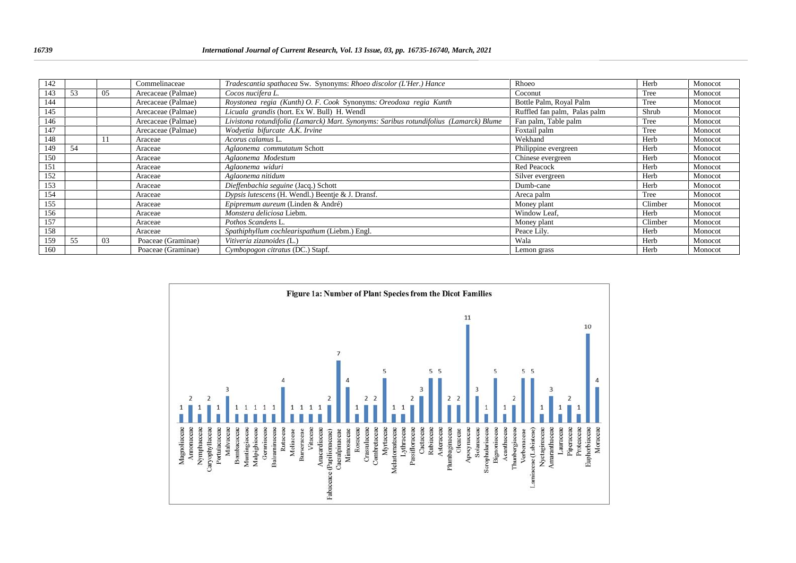| 142 |    |    | Commelinaceae      | Tradescantia spathacea Sw. Synonyms: Rhoeo discolor (L'Her.) Hance                     | Rhoeo                        | Herb    | Monocot |
|-----|----|----|--------------------|----------------------------------------------------------------------------------------|------------------------------|---------|---------|
| 143 | 53 | 05 | Arecaceae (Palmae) | Cocos nucifera L.                                                                      | Coconut                      | Tree    | Monocot |
| 144 |    |    | Arecaceae (Palmae) | Roystonea regia (Kunth) O. F. Cook Synonyms: Oreodoxa regia Kunth                      | Bottle Palm, Royal Palm      | Tree    | Monocot |
| 145 |    |    | Arecaceae (Palmae) | Licuala grandis (hort. Ex W. Bull) H. Wendl                                            | Ruffled fan palm, Palas palm | Shrub   | Monocot |
| 146 |    |    | Arecaceae (Palmae) | Livistona rotundifolia (Lamarck) Mart. Synonyms: Saribus rotundifolius (Lamarck) Blume | Fan palm, Table palm         | Tree    | Monocot |
| 147 |    |    | Arecaceae (Palmae) | Wodvetia bifurcate A.K. Irvine                                                         | Foxtail palm                 | Tree    | Monocot |
| 148 |    | 11 | Araceae            | Acorus calamus L.                                                                      | Wekhand                      | Herb    | Monocot |
| 149 | 54 |    | Araceae            | Aglaonema commutatum Schott                                                            | Philippine evergreen         | Herb    | Monocot |
| 150 |    |    | Araceae            | Aglaonema Modestum                                                                     | Chinese evergreen            | Herb    | Monocot |
| 151 |    |    | Araceae            | Aglaonema widuri                                                                       | <b>Red Peacock</b>           | Herb    | Monocot |
| 152 |    |    | Araceae            | Aglaonema nitidum                                                                      | Silver evergreen             | Herb    | Monocot |
| 153 |    |    | Araceae            | Dieffenbachia seguine (Jacq.) Schott                                                   | Dumb-cane                    | Herb    | Monocot |
| 154 |    |    | Araceae            | Dypsis lutescens (H. Wendl.) Beentje & J. Dransf.                                      | Areca palm                   | Tree    | Monocot |
| 155 |    |    | Araceae            | Epipremum aureum (Linden & André)                                                      | Money plant                  | Climber | Monocot |
| 156 |    |    | Araceae            | Monstera deliciosa Liebm.                                                              | Window Leaf,                 | Herb    | Monocot |
| 157 |    |    | Araceae            | Pothos Scandens L.                                                                     | Money plant                  | Climber | Monocot |
| 158 |    |    | Araceae            | Spathiphyllum cochlearispathum (Liebm.) Engl.                                          | Peace Lily.                  | Herb    | Monocot |
| 159 | 55 | 03 | Poaceae (Graminae) | Vitiveria zizanoides (L.)                                                              | Wala                         | Herb    | Monocot |
| 160 |    |    | Poaceae (Graminae) | Cymbopogon citratus (DC.) Stapf.                                                       | Lemon grass                  | Herb    | Monocot |